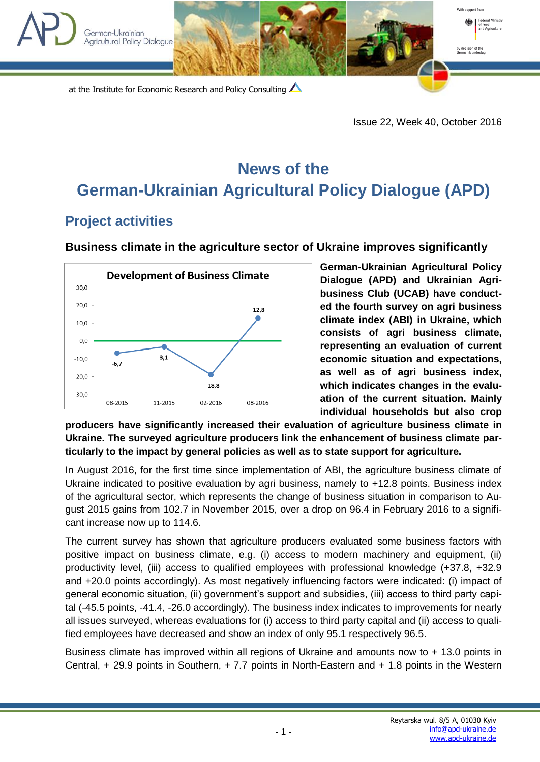



Issue 22, Week 40, October 2016

With cunnort from

Agriculture

## **News of the German-Ukrainian Agricultural Policy Dialogue (APD)**

## **Project activities**

German-Ukrainian **Agricultural Policy Dialoque** 

## **Business climate in the agriculture sector of Ukraine improves significantly**



**German-Ukrainian Agricultural Policy Dialogue (APD) and Ukrainian Agribusiness Club (UCAB) have conducted the fourth survey on agri business climate index (ABI) in Ukraine, which consists of agri business climate, representing an evaluation of current economic situation and expectations, as well as of agri business index, which indicates changes in the evaluation of the current situation. Mainly individual households but also crop** 

**producers have significantly increased their evaluation of agriculture business climate in Ukraine. The surveyed agriculture producers link the enhancement of business climate particularly to the impact by general policies as well as to state support for agriculture.**

In August 2016, for the first time since implementation of ABI, the agriculture business climate of Ukraine indicated to positive evaluation by agri business, namely to +12.8 points. Business index of the agricultural sector, which represents the change of business situation in comparison to August 2015 gains from 102.7 in November 2015, over a drop on 96.4 in February 2016 to a significant increase now up to 114.6.

The current survey has shown that agriculture producers evaluated some business factors with positive impact on business climate, e.g. (i) access to modern machinery and equipment, (ii) productivity level, (iii) access to qualified employees with professional knowledge (+37.8, +32.9 and +20.0 points accordingly). As most negatively influencing factors were indicated: (i) impact of general economic situation, (ii) government's support and subsidies, (iii) access to third party capital (-45.5 points, -41.4, -26.0 accordingly). The business index indicates to improvements for nearly all issues surveyed, whereas evaluations for (i) access to third party capital and (ii) access to qualified employees have decreased and show an index of only 95.1 respectively 96.5.

Business climate has improved within all regions of Ukraine and amounts now to + 13.0 points in Central, + 29.9 points in Southern, + 7.7 points in North-Eastern and + 1.8 points in the Western